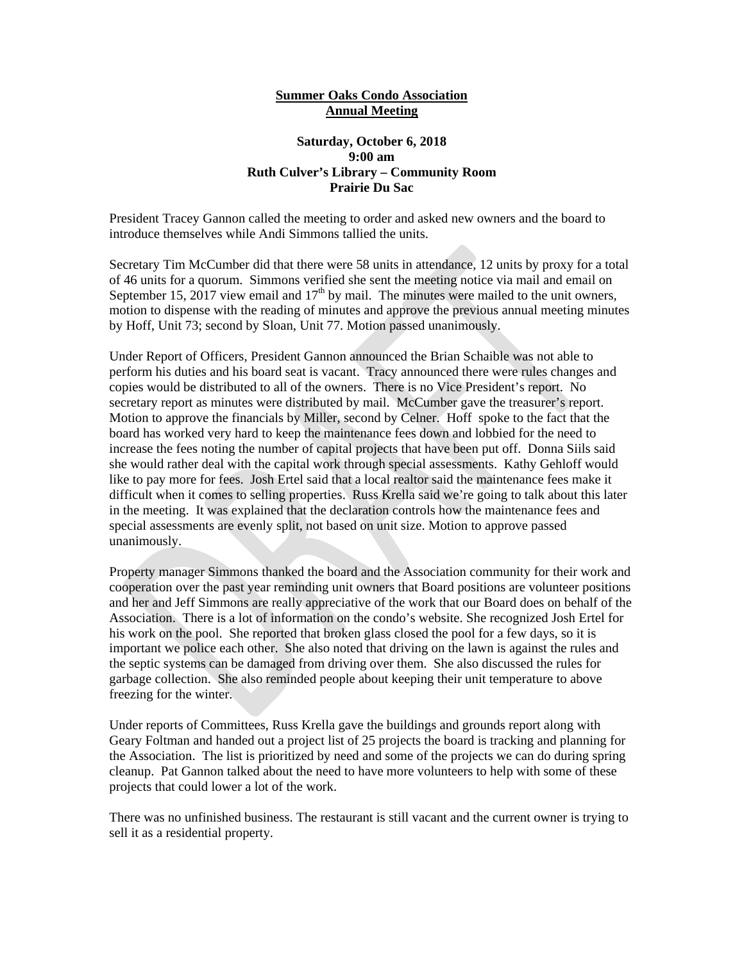## **Summer Oaks Condo Association Annual Meeting**

## **Saturday, October 6, 2018 9:00 am Ruth Culver's Library – Community Room Prairie Du Sac**

President Tracey Gannon called the meeting to order and asked new owners and the board to introduce themselves while Andi Simmons tallied the units.

Secretary Tim McCumber did that there were 58 units in attendance, 12 units by proxy for a total of 46 units for a quorum. Simmons verified she sent the meeting notice via mail and email on September 15, 2017 view email and  $17<sup>th</sup>$  by mail. The minutes were mailed to the unit owners, motion to dispense with the reading of minutes and approve the previous annual meeting minutes by Hoff, Unit 73; second by Sloan, Unit 77. Motion passed unanimously.

Under Report of Officers, President Gannon announced the Brian Schaible was not able to perform his duties and his board seat is vacant. Tracy announced there were rules changes and copies would be distributed to all of the owners. There is no Vice President's report. No secretary report as minutes were distributed by mail. McCumber gave the treasurer's report. Motion to approve the financials by Miller, second by Celner. Hoff spoke to the fact that the board has worked very hard to keep the maintenance fees down and lobbied for the need to increase the fees noting the number of capital projects that have been put off. Donna Siils said she would rather deal with the capital work through special assessments. Kathy Gehloff would like to pay more for fees. Josh Ertel said that a local realtor said the maintenance fees make it difficult when it comes to selling properties. Russ Krella said we're going to talk about this later in the meeting. It was explained that the declaration controls how the maintenance fees and special assessments are evenly split, not based on unit size. Motion to approve passed unanimously.

Property manager Simmons thanked the board and the Association community for their work and cooperation over the past year reminding unit owners that Board positions are volunteer positions and her and Jeff Simmons are really appreciative of the work that our Board does on behalf of the Association. There is a lot of information on the condo's website. She recognized Josh Ertel for his work on the pool. She reported that broken glass closed the pool for a few days, so it is important we police each other. She also noted that driving on the lawn is against the rules and the septic systems can be damaged from driving over them. She also discussed the rules for garbage collection. She also reminded people about keeping their unit temperature to above freezing for the winter.

Under reports of Committees, Russ Krella gave the buildings and grounds report along with Geary Foltman and handed out a project list of 25 projects the board is tracking and planning for the Association. The list is prioritized by need and some of the projects we can do during spring cleanup. Pat Gannon talked about the need to have more volunteers to help with some of these projects that could lower a lot of the work.

There was no unfinished business. The restaurant is still vacant and the current owner is trying to sell it as a residential property.